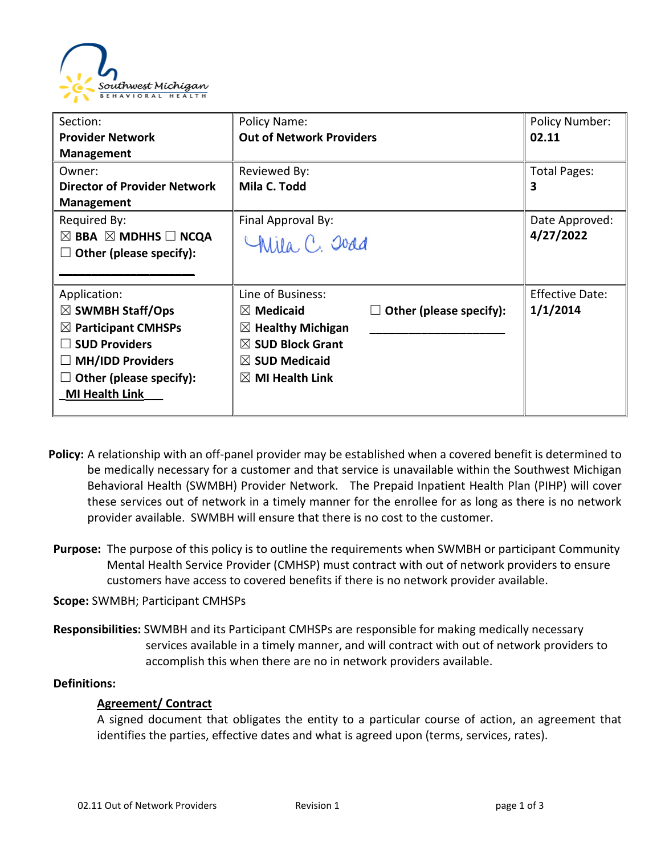

| Section:                                      | Policy Name:                    |                              | <b>Policy Number:</b>  |
|-----------------------------------------------|---------------------------------|------------------------------|------------------------|
| <b>Provider Network</b>                       | <b>Out of Network Providers</b> |                              | 02.11                  |
| <b>Management</b>                             |                                 |                              |                        |
| Owner:                                        | Reviewed By:                    |                              | Total Pages:           |
| <b>Director of Provider Network</b>           | Mila C. Todd                    |                              | 3                      |
| <b>Management</b>                             |                                 |                              |                        |
| Required By:                                  | Final Approval By:              |                              | Date Approved:         |
| $\boxtimes$ BBA $\boxtimes$ MDHHS $\Box$ NCQA | Chila, C. Joad                  |                              | 4/27/2022              |
| Other (please specify):                       |                                 |                              |                        |
|                                               |                                 |                              |                        |
| Application:                                  | Line of Business:               |                              | <b>Effective Date:</b> |
| $\boxtimes$ SWMBH Staff/Ops                   | $\boxtimes$ Medicaid            | Other (please specify):<br>ш | 1/1/2014               |
| $\boxtimes$ Participant CMHSPs                | $\boxtimes$ Healthy Michigan    |                              |                        |
| <b>SUD Providers</b>                          | $\boxtimes$ SUD Block Grant     |                              |                        |
| <b>MH/IDD Providers</b>                       | $\boxtimes$ SUD Medicaid        |                              |                        |
| Other (please specify):                       | $\boxtimes$ MI Health Link      |                              |                        |
| <b>MI Health Link</b>                         |                                 |                              |                        |
|                                               |                                 |                              |                        |

- **Policy:** A relationship with an off-panel provider may be established when a covered benefit is determined to be medically necessary for a customer and that service is unavailable within the Southwest Michigan Behavioral Health (SWMBH) Provider Network. The Prepaid Inpatient Health Plan (PIHP) will cover these services out of network in a timely manner for the enrollee for as long as there is no network provider available. SWMBH will ensure that there is no cost to the customer.
- **Purpose:** The purpose of this policy is to outline the requirements when SWMBH or participant Community Mental Health Service Provider (CMHSP) must contract with out of network providers to ensure customers have access to covered benefits if there is no network provider available.
- **Scope:** SWMBH; Participant CMHSPs
- **Responsibilities:** SWMBH and its Participant CMHSPs are responsible for making medically necessary services available in a timely manner, and will contract with out of network providers to accomplish this when there are no in network providers available.

### **Definitions:**

## **Agreement/ Contract**

A signed document that obligates the entity to a particular course of action, an agreement that identifies the parties, effective dates and what is agreed upon (terms, services, rates).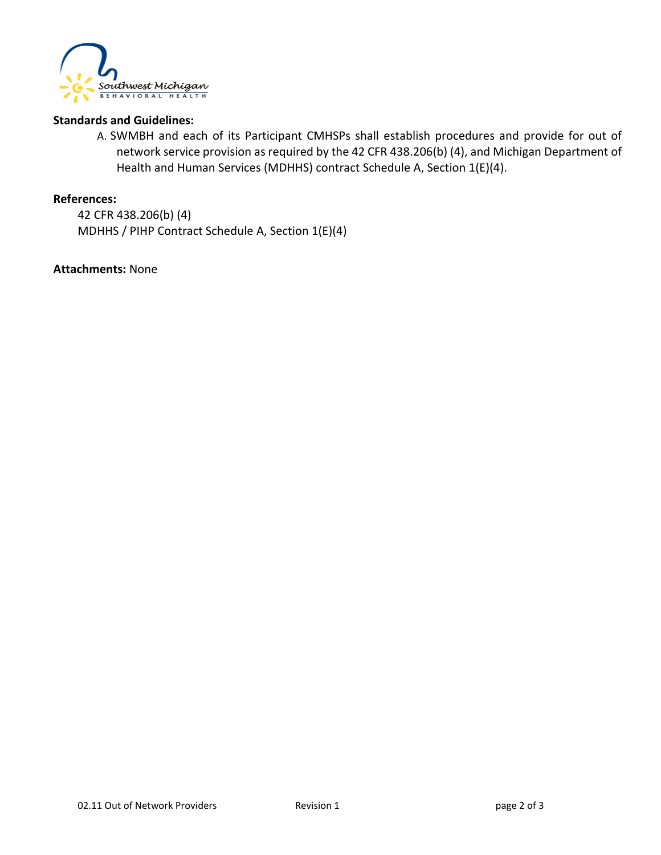

#### **Standards and Guidelines:**

A. SWMBH and each of its Participant CMHSPs shall establish procedures and provide for out of network service provision as required by the 42 CFR 438.206(b) (4), and Michigan Department of Health and Human Services (MDHHS) contract Schedule A, Section 1(E)(4).

#### **References:**

42 CFR 438.206(b) (4) MDHHS / PIHP Contract Schedule A, Section 1(E)(4)

**Attachments:** None